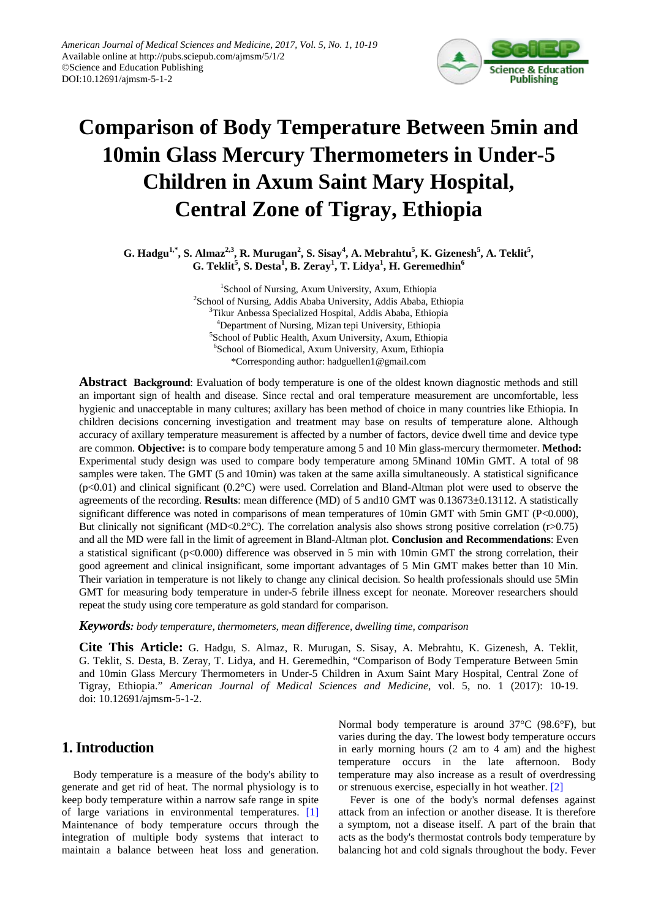

# **Comparison of Body Temperature Between 5min and 10min Glass Mercury Thermometers in Under-5 Children in Axum Saint Mary Hospital, Central Zone of Tigray, Ethiopia**

**G. Hadgu<sup>1,\*</sup>, S. Almaz<sup>2,3</sup>, R. Murugan<sup>2</sup>, S. Sisay<sup>4</sup>, A. Mebrahtu<sup>5</sup>, K. Gizenesh<sup>5</sup>, A. Teklit<sup>5</sup>, G. Teklit<sup>5</sup> , S. Desta<sup>1</sup> , B. Zeray<sup>1</sup> , T. Lidya<sup>1</sup> , H. Geremedhin6**

> 1 School of Nursing, Axum University, Axum, Ethiopia <sup>2</sup>School of Nursing, Addis Ababa University, Addis Ababa, Ethiopia <sup>3</sup>Tikur Anbessa Specialized Hospital, Addis Ababa, Ethiopia 4 Department of Nursing, Mizan tepi University, Ethiopia 5 School of Public Health, Axum University, Axum, Ethiopia 6 School of Biomedical, Axum University, Axum, Ethiopia \*Corresponding author: hadguellen1@gmail.com

**Abstract Background**: Evaluation of body temperature is one of the oldest known diagnostic methods and still an important sign of health and disease. Since rectal and oral temperature measurement are uncomfortable, less hygienic and unacceptable in many cultures; axillary has been method of choice in many countries like Ethiopia. In children decisions concerning investigation and treatment may base on results of temperature alone. Although accuracy of axillary temperature measurement is affected by a number of factors, device dwell time and device type are common. **Objective:** is to compare body temperature among 5 and 10 Min glass-mercury thermometer. **Method:** Experimental study design was used to compare body temperature among 5Minand 10Min GMT. A total of 98 samples were taken. The GMT (5 and 10min) was taken at the same axilla simultaneously. A statistical significance  $(p<0.01)$  and clinical significant  $(0.2^{\circ}C)$  were used. Correlation and Bland-Altman plot were used to observe the agreements of the recording. **Results**: mean difference (MD) of 5 and10 GMT was 0.13673±0.13112. A statistically significant difference was noted in comparisons of mean temperatures of 10min GMT with 5min GMT (P<0.000), But clinically not significant (MD<0.2°C). The correlation analysis also shows strong positive correlation (r>0.75) and all the MD were fall in the limit of agreement in Bland-Altman plot. **Conclusion and Recommendations**: Even a statistical significant (p<0.000) difference was observed in 5 min with 10min GMT the strong correlation, their good agreement and clinical insignificant, some important advantages of 5 Min GMT makes better than 10 Min. Their variation in temperature is not likely to change any clinical decision. So health professionals should use 5Min GMT for measuring body temperature in under-5 febrile illness except for neonate. Moreover researchers should repeat the study using core temperature as gold standard for comparison.

*Keywords: body temperature, thermometers, mean difference, dwelling time, comparison*

**Cite This Article:** G. Hadgu, S. Almaz, R. Murugan, S. Sisay, A. Mebrahtu, K. Gizenesh, A. Teklit, G. Teklit, S. Desta, B. Zeray, T. Lidya, and H. Geremedhin, "Comparison of Body Temperature Between 5min and 10min Glass Mercury Thermometers in Under-5 Children in Axum Saint Mary Hospital, Central Zone of Tigray, Ethiopia." *American Journal of Medical Sciences and Medicine*, vol. 5, no. 1 (2017): 10-19. doi: 10.12691/ajmsm-5-1-2.

# **1. Introduction**

Body temperature is a measure of the body's ability to generate and get rid of heat. The normal physiology is to keep body temperature within a narrow safe range in spite of large variations in environmental temperatures. [\[1\]](#page-8-0) Maintenance of body temperature occurs through the integration of multiple body systems that interact to maintain a balance between heat loss and generation.

Normal body temperature is around 37°C (98.6°F), but varies during the day. The lowest body temperature occurs in early morning hours (2 am to 4 am) and the highest temperature occurs in the late afternoon. Body temperature may also increase as a result of overdressing or strenuous exercise, especially in hot weather. [\[2\]](#page-8-1)

Fever is one of the body's normal defenses against attack from an infection or another disease. It is therefore a symptom, not a disease itself. A part of the brain that acts as the body's thermostat controls body temperature by balancing hot and cold signals throughout the body. Fever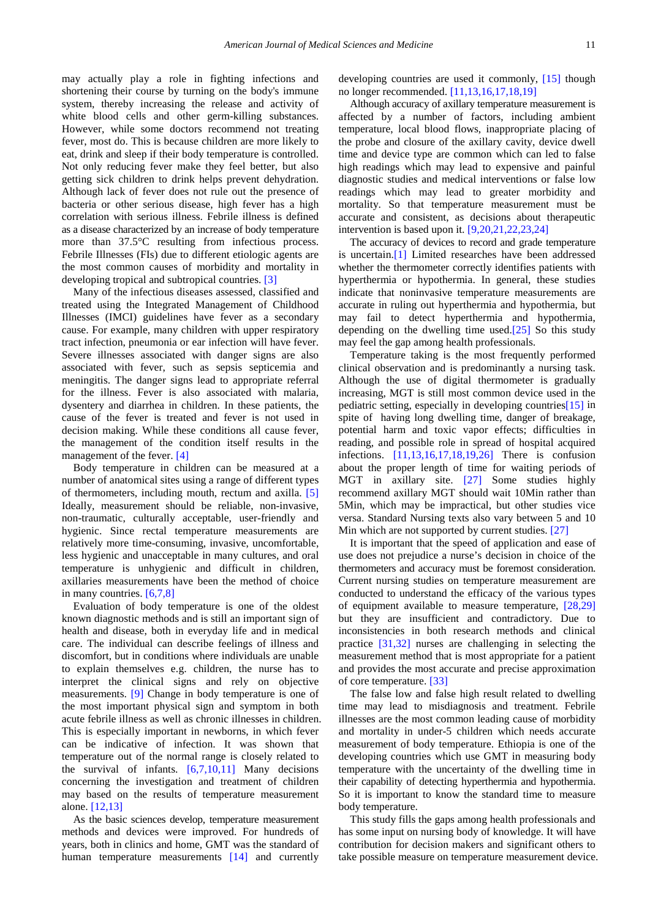may actually play a role in fighting infections and shortening their course by turning on the body's immune system, thereby increasing the release and activity of white blood cells and other germ-killing substances. However, while some doctors recommend not treating fever, most do. This is because children are more likely to eat, drink and sleep if their body temperature is controlled. Not only reducing fever make they feel better, but also getting sick children to drink helps prevent dehydration. Although lack of fever does not rule out the presence of bacteria or other serious disease, high fever has a high correlation with serious illness. Febrile illness is defined as a disease characterized by an increase of body temperature more than 37.5°C resulting from infectious process. Febrile Illnesses (FIs) due to different etiologic agents are the most common causes of morbidity and mortality in developing tropical and subtropical countries. [\[3\]](#page-8-2)

Many of the infectious diseases assessed, classified and treated using the Integrated Management of Childhood Illnesses (IMCI) guidelines have fever as a secondary cause. For example, many children with upper respiratory tract infection, pneumonia or ear infection will have fever. Severe illnesses associated with danger signs are also associated with fever, such as sepsis septicemia and meningitis. The danger signs lead to appropriate referral for the illness. Fever is also associated with malaria, dysentery and diarrhea in children. In these patients, the cause of the fever is treated and fever is not used in decision making. While these conditions all cause fever, the management of the condition itself results in the management of the fever. [\[4\]](#page-8-3)

Body temperature in children can be measured at a number of anatomical sites using a range of different types of thermometers, including mouth, rectum and axilla. [\[5\]](#page-8-4) Ideally, measurement should be reliable, non-invasive, non-traumatic, culturally acceptable, user-friendly and hygienic. Since rectal temperature measurements are relatively more time-consuming, invasive, uncomfortable, less hygienic and unacceptable in many cultures, and oral temperature is unhygienic and difficult in children, axillaries measurements have been the method of choice in many countries. [\[6,7,8\]](#page-8-5)

Evaluation of body temperature is one of the oldest known diagnostic methods and is still an important sign of health and disease, both in everyday life and in medical care. The individual can describe feelings of illness and discomfort, but in conditions where individuals are unable to explain themselves e.g. children, the nurse has to interpret the clinical signs and rely on objective measurements. [\[9\]](#page-8-6) Change in body temperature is one of the most important physical sign and symptom in both acute febrile illness as well as chronic illnesses in children. This is especially important in newborns, in which fever can be indicative of infection. It was shown that temperature out of the normal range is closely related to the survival of infants.  $[6,7,10,11]$  Many decisions concerning the investigation and treatment of children may based on the results of temperature measurement alone. [\[12,13\]](#page-8-7)

As the basic sciences develop, temperature measurement methods and devices were improved. For hundreds of years, both in clinics and home, GMT was the standard of human temperature measurements [\[14\]](#page-8-8) and currently developing countries are used it commonly, [\[15\]](#page-8-9) though no longer recommended. [\[11,13,16,17,18,19\]](#page-8-10)

Although accuracy of axillary temperature measurement is affected by a number of factors, including ambient temperature, local blood flows, inappropriate placing of the probe and closure of the axillary cavity, device dwell time and device type are common which can led to false high readings which may lead to expensive and painful diagnostic studies and medical interventions or false low readings which may lead to greater morbidity and mortality. So that temperature measurement must be accurate and consistent, as decisions about therapeutic intervention is based upon it. [\[9,20,21,22,23,24\]](#page-8-6)

The accuracy of devices to record and grade temperature is uncertain[.\[1\]](#page-8-0) Limited researches have been addressed whether the thermometer correctly identifies patients with hyperthermia or hypothermia. In general, these studies indicate that noninvasive temperature measurements are accurate in ruling out hyperthermia and hypothermia, but may fail to detect hyperthermia and hypothermia, depending on the dwelling time used[.\[25\]](#page-9-0) So this study may feel the gap among health professionals.

Temperature taking is the most frequently performed clinical observation and is predominantly a nursing task. Although the use of digital thermometer is gradually increasing, MGT is still most common device used in the pediatric setting, especially in developing countrie[s\[15\]](#page-8-9) in spite of having long dwelling time, danger of breakage, potential harm and toxic vapor effects; difficulties in reading, and possible role in spread of hospital acquired infections. [\[11,13,16,17,18,19,26\]](#page-8-10) There is confusion about the proper length of time for waiting periods of MGT in axillary site. [\[27\]](#page-9-1) Some studies highly recommend axillary MGT should wait 10Min rather than 5Min, which may be impractical, but other studies vice versa. Standard Nursing texts also vary between 5 and 10 Min which are not supported by current studies. [\[27\]](#page-9-1)

It is important that the speed of application and ease of use does not prejudice a nurse's decision in choice of the thermometers and accuracy must be foremost consideration. Current nursing studies on temperature measurement are conducted to understand the efficacy of the various types of equipment available to measure temperature, [\[28,29\]](#page-9-2) but they are insufficient and contradictory. Due to inconsistencies in both research methods and clinical practice [\[31,32\]](#page-9-3) nurses are challenging in selecting the measurement method that is most appropriate for a patient and provides the most accurate and precise approximation of core temperature. [\[33\]](#page-9-4)

The false low and false high result related to dwelling time may lead to misdiagnosis and treatment. Febrile illnesses are the most common leading cause of morbidity and mortality in under-5 children which needs accurate measurement of body temperature. Ethiopia is one of the developing countries which use GMT in measuring body temperature with the uncertainty of the dwelling time in their capability of detecting hyperthermia and hypothermia. So it is important to know the standard time to measure body temperature.

This study fills the gaps among health professionals and has some input on nursing body of knowledge. It will have contribution for decision makers and significant others to take possible measure on temperature measurement device.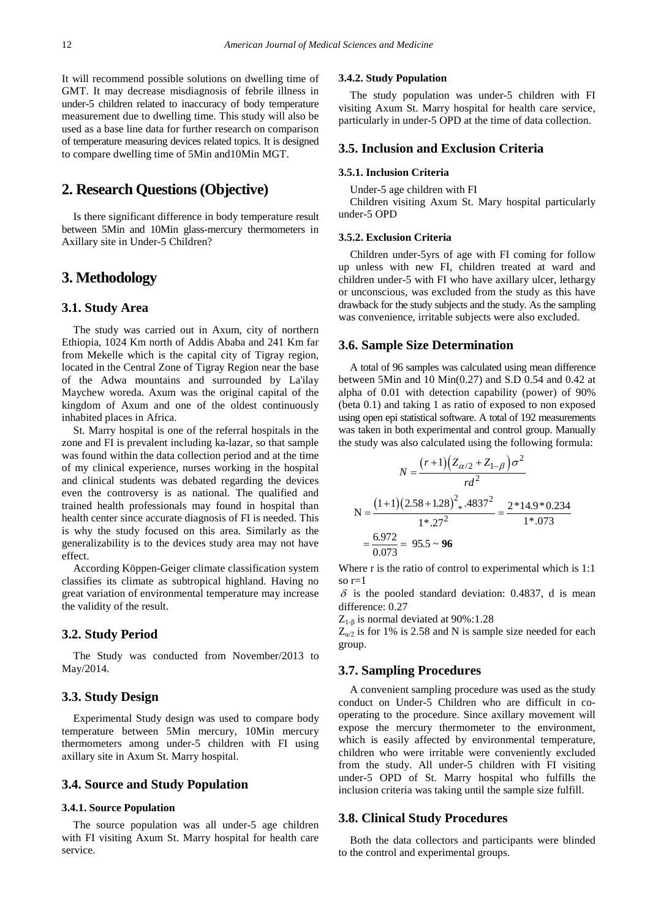It will recommend possible solutions on dwelling time of GMT. It may decrease misdiagnosis of febrile illness in under-5 children related to inaccuracy of body temperature measurement due to dwelling time. This study will also be used as a base line data for further research on comparison of temperature measuring devices related topics. It is designed to compare dwelling time of 5Min and10Min MGT.

# **2. Research Questions (Objective)**

Is there significant difference in body temperature result between 5Min and 10Min glass-mercury thermometers in Axillary site in Under-5 Children?

# **3. Methodology**

#### **3.1. Study Area**

The study was carried out in Axum, city of northern Ethiopia, 1024 Km north of Addis Ababa and 241 Km far from Mekelle which is the capital city of Tigray region, located in the Central Zone of Tigray Region near the base of the Adwa mountains and surrounded by La'ilay Maychew woreda. Axum was the original capital of the kingdom of Axum and one of the oldest continuously inhabited places in Africa.

St. Marry hospital is one of the referral hospitals in the zone and FI is prevalent including ka-lazar, so that sample was found within the data collection period and at the time of my clinical experience, nurses working in the hospital and clinical students was debated regarding the devices even the controversy is as national. The qualified and trained health professionals may found in hospital than health center since accurate diagnosis of FI is needed. This is why the study focused on this area. Similarly as the generalizability is to the devices study area may not have effect.

According Köppen-Geiger climate classification system classifies its climate as subtropical highland. Having no great variation of environmental temperature may increase the validity of the result.

#### **3.2. Study Period**

The Study was conducted from November/2013 to May/2014.

## **3.3. Study Design**

Experimental Study design was used to compare body temperature between 5Min mercury, 10Min mercury thermometers among under-5 children with FI using axillary site in Axum St. Marry hospital.

## **3.4. Source and Study Population**

#### **3.4.1. Source Population**

The source population was all under-5 age children with FI visiting Axum St. Marry hospital for health care service.

#### **3.4.2. Study Population**

The study population was under-5 children with FI visiting Axum St. Marry hospital for health care service, particularly in under-5 OPD at the time of data collection.

## **3.5. Inclusion and Exclusion Criteria**

## **3.5.1. Inclusion Criteria**

Under-5 age children with FI

Children visiting Axum St. Mary hospital particularly under-5 OPD

#### **3.5.2. Exclusion Criteria**

Children under-5yrs of age with FI coming for follow up unless with new FI, children treated at ward and children under-5 with FI who have axillary ulcer, lethargy or unconscious, was excluded from the study as this have drawback for the study subjects and the study. As the sampling was convenience, irritable subjects were also excluded.

#### **3.6. Sample Size Determination**

A total of 96 samples was calculated using mean difference between 5Min and 10 Min(0.27) and S.D 0.54 and 0.42 at alpha of 0.01 with detection capability (power) of 90% (beta 0.1) and taking 1 as ratio of exposed to non exposed using open epi statistical software. A total of 192 measurements was taken in both experimental and control group. Manually the study was also calculated using the following formula:

$$
N = \frac{(r+1)\left(Z_{\alpha/2} + Z_{1-\beta}\right)\sigma^2}{rd^2}
$$
  

$$
N = \frac{\left(1+1\right)\left(2.58 + 1.28\right)^2 \cdot .4837^2}{1^*.27^2} = \frac{2^*14.9^*0.234}{1^*.073}
$$

$$
= \frac{6.972}{0.073} = 95.5 \sim 96
$$

Where r is the ratio of control to experimental which is 1:1 so  $r=1$ 

 $\delta$  is the pooled standard deviation: 0.4837, d is mean difference: 0.27

 $Z_{1-\beta}$  is normal deviated at 90%:1.28

 $Z_{\alpha/2}$  is for 1% is 2.58 and N is sample size needed for each group.

## **3.7. Sampling Procedures**

A convenient sampling procedure was used as the study conduct on Under-5 Children who are difficult in cooperating to the procedure. Since axillary movement will expose the mercury thermometer to the environment, which is easily affected by environmental temperature, children who were irritable were conveniently excluded from the study. All under-5 children with FI visiting under-5 OPD of St. Marry hospital who fulfills the inclusion criteria was taking until the sample size fulfill.

## **3.8. Clinical Study Procedures**

Both the data collectors and participants were blinded to the control and experimental groups.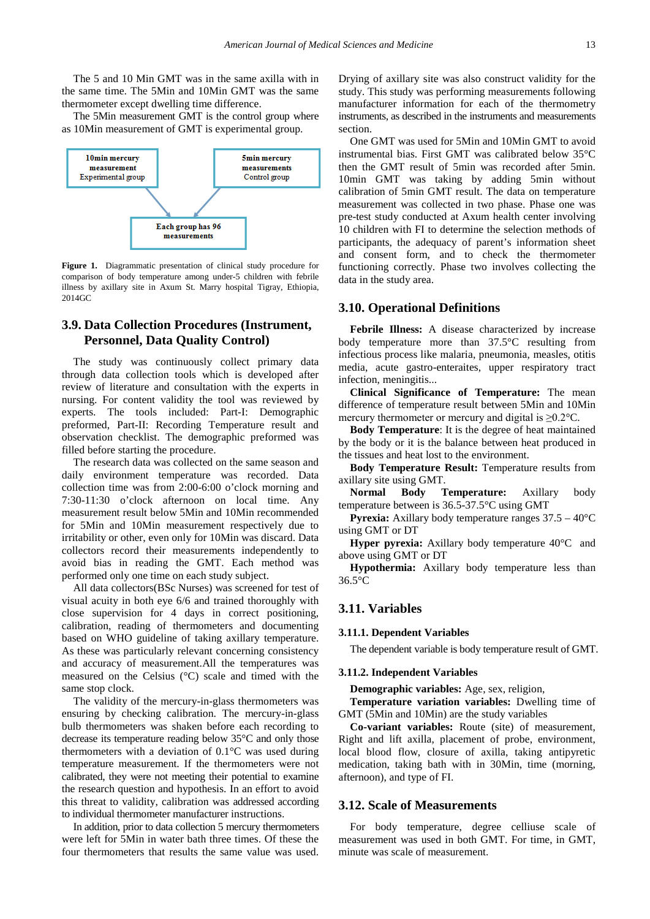The 5 and 10 Min GMT was in the same axilla with in the same time. The 5Min and 10Min GMT was the same thermometer except dwelling time difference.

The 5Min measurement GMT is the control group where as 10Min measurement of GMT is experimental group.



**Figure 1.** Diagrammatic presentation of clinical study procedure for comparison of body temperature among under-5 children with febrile illness by axillary site in Axum St. Marry hospital Tigray, Ethiopia, 2014GC

# **3.9. Data Collection Procedures (Instrument, Personnel, Data Quality Control)**

The study was continuously collect primary data through data collection tools which is developed after review of literature and consultation with the experts in nursing. For content validity the tool was reviewed by experts. The tools included: Part-I: Demographic preformed, Part-II: Recording Temperature result and observation checklist. The demographic preformed was filled before starting the procedure.

The research data was collected on the same season and daily environment temperature was recorded. Data collection time was from 2:00-6:00 o'clock morning and 7:30-11:30 o'clock afternoon on local time. Any measurement result below 5Min and 10Min recommended for 5Min and 10Min measurement respectively due to irritability or other, even only for 10Min was discard. Data collectors record their measurements independently to avoid bias in reading the GMT. Each method was performed only one time on each study subject.

All data collectors(BSc Nurses) was screened for test of visual acuity in both eye 6/6 and trained thoroughly with close supervision for 4 days in correct positioning, calibration, reading of thermometers and documenting based on WHO guideline of taking axillary temperature. As these was particularly relevant concerning consistency and accuracy of measurement.All the temperatures was measured on the Celsius (°C) scale and timed with the same stop clock.

The validity of the mercury-in-glass thermometers was ensuring by checking calibration. The mercury-in-glass bulb thermometers was shaken before each recording to decrease its temperature reading below 35°C and only those thermometers with a deviation of 0.1°C was used during temperature measurement. If the thermometers were not calibrated, they were not meeting their potential to examine the research question and hypothesis. In an effort to avoid this threat to validity, calibration was addressed according to individual thermometer manufacturer instructions.

In addition, prior to data collection 5 mercury thermometers were left for 5Min in water bath three times. Of these the four thermometers that results the same value was used. Drying of axillary site was also construct validity for the study. This study was performing measurements following manufacturer information for each of the thermometry instruments, as described in the instruments and measurements section.

One GMT was used for 5Min and 10Min GMT to avoid instrumental bias. First GMT was calibrated below 35°C then the GMT result of 5min was recorded after 5min. 10min GMT was taking by adding 5min without calibration of 5min GMT result. The data on temperature measurement was collected in two phase. Phase one was pre-test study conducted at Axum health center involving 10 children with FI to determine the selection methods of participants, the adequacy of parent's information sheet and consent form, and to check the thermometer functioning correctly. Phase two involves collecting the data in the study area.

#### **3.10. Operational Definitions**

**Febrile Illness:** A disease characterized by increase body temperature more than 37.5°C resulting from infectious process like malaria, pneumonia, measles, otitis media, acute gastro-enteraites, upper respiratory tract infection, meningitis...

**Clinical Significance of Temperature:** The mean difference of temperature result between 5Min and 10Min mercury thermometer or mercury and digital is  $\geq 0.2$ °C.

**Body Temperature**: It is the degree of heat maintained by the body or it is the balance between heat produced in the tissues and heat lost to the environment.

**Body Temperature Result:** Temperature results from axillary site using GMT.

**Normal Body Temperature:** Axillary body temperature between is 36.5-37.5°C using GMT

**Pyrexia:** Axillary body temperature ranges 37.5 – 40°C using GMT or DT

**Hyper pyrexia:** Axillary body temperature 40°C and above using GMT or DT

**Hypothermia:** Axillary body temperature less than 36.5°C

#### **3.11. Variables**

#### **3.11.1. Dependent Variables**

The dependent variable is body temperature result of GMT.

#### **3.11.2. Independent Variables**

**Demographic variables:** Age, sex, religion,

**Temperature variation variables:** Dwelling time of GMT (5Min and 10Min) are the study variables

**Co-variant variables:** Route (site) of measurement, Right and lift axilla, placement of probe, environment, local blood flow, closure of axilla, taking antipyretic medication, taking bath with in 30Min, time (morning, afternoon), and type of FI.

#### **3.12. Scale of Measurements**

For body temperature, degree celliuse scale of measurement was used in both GMT. For time, in GMT, minute was scale of measurement.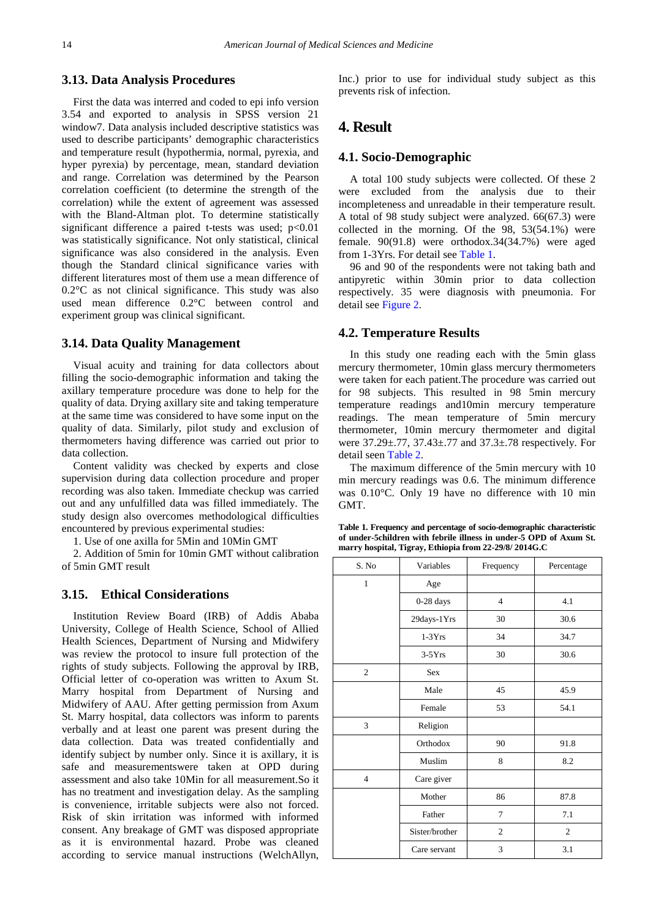#### **3.13. Data Analysis Procedures**

First the data was interred and coded to epi info version 3.54 and exported to analysis in SPSS version 21 window7. Data analysis included descriptive statistics was used to describe participants' demographic characteristics and temperature result (hypothermia, normal, pyrexia, and hyper pyrexia) by percentage, mean, standard deviation and range. Correlation was determined by the Pearson correlation coefficient (to determine the strength of the correlation) while the extent of agreement was assessed with the Bland-Altman plot. To determine statistically significant difference a paired t-tests was used; p<0.01 was statistically significance. Not only statistical, clinical significance was also considered in the analysis. Even though the Standard clinical significance varies with different literatures most of them use a mean difference of 0.2°C as not clinical significance. This study was also used mean difference 0.2°C between control and experiment group was clinical significant.

## **3.14. Data Quality Management**

Visual acuity and training for data collectors about filling the socio-demographic information and taking the axillary temperature procedure was done to help for the quality of data. Drying axillary site and taking temperature at the same time was considered to have some input on the quality of data. Similarly, pilot study and exclusion of thermometers having difference was carried out prior to data collection.

Content validity was checked by experts and close supervision during data collection procedure and proper recording was also taken. Immediate checkup was carried out and any unfulfilled data was filled immediately. The study design also overcomes methodological difficulties encountered by previous experimental studies:

1. Use of one axilla for 5Min and 10Min GMT

2. Addition of 5min for 10min GMT without calibration of 5min GMT result

## **3.15. Ethical Considerations**

Institution Review Board (IRB) of Addis Ababa University, College of Health Science, School of Allied Health Sciences, Department of Nursing and Midwifery was review the protocol to insure full protection of the rights of study subjects. Following the approval by IRB, Official letter of co-operation was written to Axum St. Marry hospital from Department of Nursing and Midwifery of AAU. After getting permission from Axum St. Marry hospital, data collectors was inform to parents verbally and at least one parent was present during the data collection. Data was treated confidentially and identify subject by number only. Since it is axillary, it is safe and measurementswere taken at OPD during assessment and also take 10Min for all measurement.So it has no treatment and investigation delay. As the sampling is convenience, irritable subjects were also not forced. Risk of skin irritation was informed with informed consent. Any breakage of GMT was disposed appropriate as it is environmental hazard. Probe was cleaned according to service manual instructions (WelchAllyn,

Inc.) prior to use for individual study subject as this prevents risk of infection.

# **4. Result**

## **4.1. Socio-Demographic**

A total 100 study subjects were collected. Of these 2 were excluded from the analysis due to their incompleteness and unreadable in their temperature result. A total of 98 study subject were analyzed. 66(67.3) were collected in the morning. Of the 98, 53(54.1%) were female. 90(91.8) were orthodox.34(34.7%) were aged from 1-3Yrs. For detail see [Table 1.](#page-4-0)

96 and 90 of the respondents were not taking bath and antipyretic within 30min prior to data collection respectively. 35 were diagnosis with pneumonia. For detail see [Figure 2.](#page-5-0)

#### **4.2. Temperature Results**

In this study one reading each with the 5min glass mercury thermometer, 10min glass mercury thermometers were taken for each patient.The procedure was carried out for 98 subjects. This resulted in 98 5min mercury temperature readings and10min mercury temperature readings. The mean temperature of 5min mercury thermometer, 10min mercury thermometer and digital were 37.29±.77, 37.43±.77 and 37.3±.78 respectively. For detail seen [Table 2.](#page-5-1)

The maximum difference of the 5min mercury with 10 min mercury readings was 0.6. The minimum difference was 0.10°C. Only 19 have no difference with 10 min GMT.

**Table 1. Frequency and percentage of socio-demographic characteristic of under-5children with febrile illness in under-5 OPD of Axum St. marry hospital, Tigray, Ethiopia from 22-29/8/ 2014G.C**

<span id="page-4-0"></span>

| S. No          | Variables      | Frequency<br>Percentage |                |
|----------------|----------------|-------------------------|----------------|
| $\mathbf{1}$   | Age            |                         |                |
|                | $0-28$ days    | $\overline{4}$          | 4.1            |
|                | 29days-1Yrs    | 30                      | 30.6           |
|                | $1-3Yrs$       | 34                      | 34.7           |
|                | $3-5Yrs$       | 30                      | 30.6           |
| $\overline{c}$ | <b>Sex</b>     |                         |                |
|                | Male           | 45                      | 45.9           |
|                | Female         | 53                      | 54.1           |
| 3              | Religion       |                         |                |
|                | Orthodox       | 90                      | 91.8           |
|                | Muslim         | 8                       | 8.2            |
| $\overline{4}$ | Care giver     |                         |                |
|                | Mother         | 86                      | 87.8           |
|                | Father         | $\overline{7}$          | 7.1            |
|                | Sister/brother | $\overline{2}$          | $\overline{c}$ |
|                | Care servant   | 3                       | 3.1            |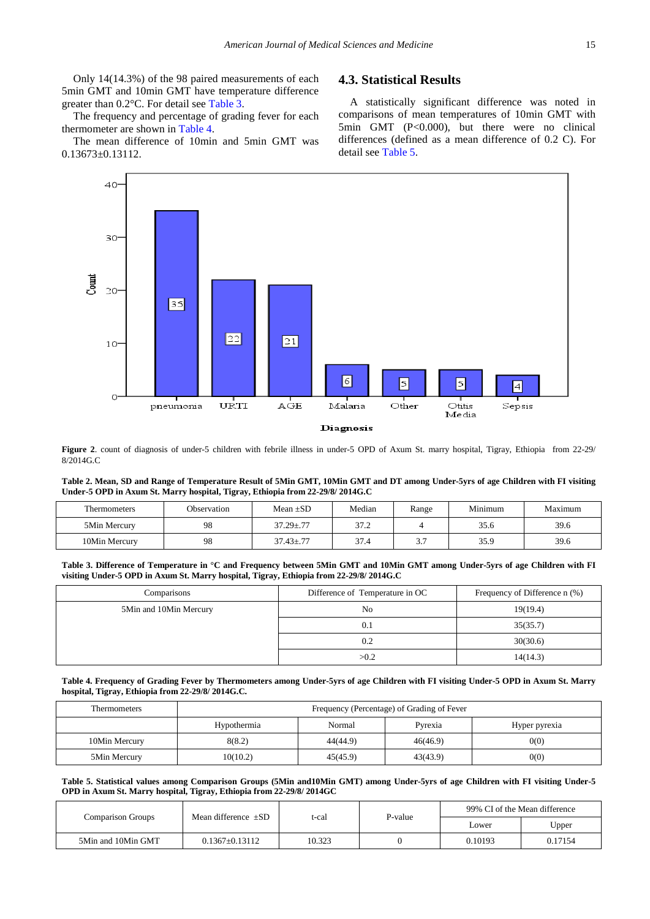Only 14(14.3%) of the 98 paired measurements of each 5min GMT and 10min GMT have temperature difference greater than 0.2°C. For detail see [Table 3.](#page-5-2)

The frequency and percentage of grading fever for each thermometer are shown in [Table 4.](#page-5-3)

The mean difference of 10min and 5min GMT was 0.13673±0.13112.

# **4.3. Statistical Results**

A statistically significant difference was noted in comparisons of mean temperatures of 10min GMT with 5min GMT (P<0.000), but there were no clinical differences (defined as a mean difference of 0.2 C). For detail see [Table 5.](#page-5-4)

<span id="page-5-0"></span>

**Figure 2**. count of diagnosis of under-5 children with febrile illness in under-5 OPD of Axum St. marry hospital, Tigray, Ethiopia from 22-29/ 8/2014G.C

**Table 2. Mean, SD and Range of Temperature Result of 5Min GMT, 10Min GMT and DT among Under-5yrs of age Children with FI visiting Under-5 OPD in Axum St. Marry hospital, Tigray, Ethiopia from 22-29/8/ 2014G.C**

<span id="page-5-1"></span>

| Thermometers  | Observation | Mean $\pm SD$   | Median | Range | Minimum | Maximum |
|---------------|-------------|-----------------|--------|-------|---------|---------|
| 5Min Mercury  | 98          | $37.29 \pm .77$ | 37.2   |       | 35.6    | 39.6    |
| 10Min Mercury | 98          | $37.43 \pm .77$ | 37.4   | ر . د | 35.9    | 39.6    |

**Table 3. Difference of Temperature in °C and Frequency between 5Min GMT and 10Min GMT among Under-5yrs of age Children with FI visiting Under-5 OPD in Axum St. Marry hospital, Tigray, Ethiopia from 22-29/8/ 2014G.C**

<span id="page-5-2"></span>

| Comparisons            | Difference of Temperature in OC | Frequency of Difference n (%) |
|------------------------|---------------------------------|-------------------------------|
| 5Min and 10Min Mercury | No                              | 19(19.4)                      |
|                        | 0.1                             | 35(35.7)                      |
|                        | 0.2                             | 30(30.6)                      |
|                        | >0.2                            | 14(14.3)                      |

#### **Table 4. Frequency of Grading Fever by Thermometers among Under-5yrs of age Children with FI visiting Under-5 OPD in Axum St. Marry hospital, Tigray, Ethiopia from 22-29/8/ 2014G.C.**

<span id="page-5-3"></span>

| Thermometers  | Frequency (Percentage) of Grading of Fever |          |          |               |
|---------------|--------------------------------------------|----------|----------|---------------|
|               | Hypothermia                                | Normal   | Pyrexia  | Hyper pyrexia |
| 10Min Mercury | 8(8.2)                                     | 44(44.9) | 46(46.9) | 0(0)          |
| 5Min Mercury  | 10(10.2)                                   | 45(45.9) | 43(43.9) | 0(0)          |

**Table 5. Statistical values among Comparison Groups (5Min and10Min GMT) among Under-5yrs of age Children with FI visiting Under-5 OPD in Axum St. Marry hospital, Tigray, Ethiopia from 22-29/8/ 2014GC**

<span id="page-5-4"></span>

| Comparison Groups  | Mean difference $\pm SD$ | t-cal  | P-value | 99% CI of the Mean difference |         |
|--------------------|--------------------------|--------|---------|-------------------------------|---------|
|                    |                          |        |         | Lower                         | Upper   |
| 5Min and 10Min GMT | $0.1367+0.13112$         | 10.323 |         | 0.10193                       | 0.17154 |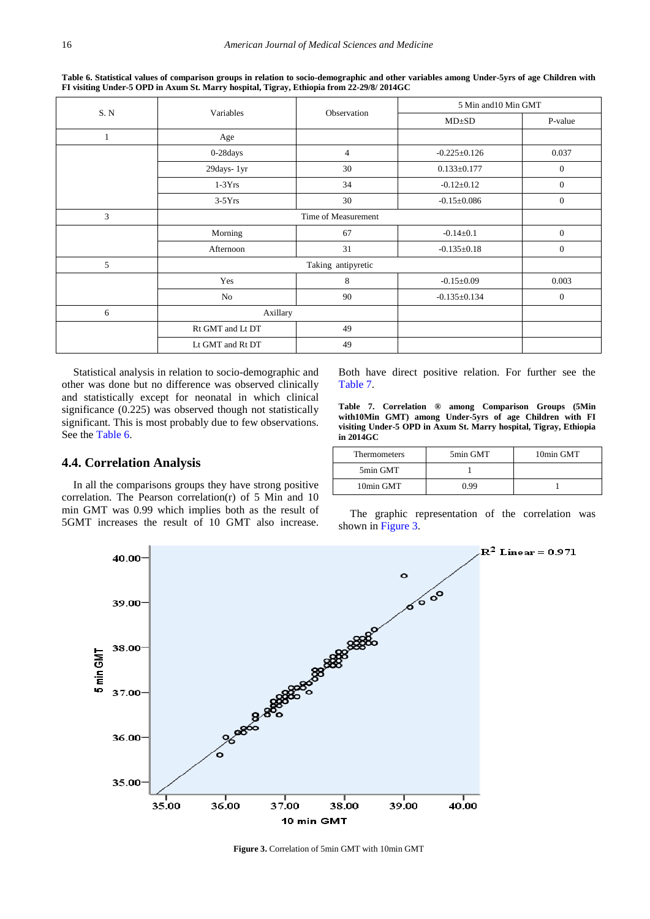<span id="page-6-0"></span>S. N Variables Observation 5 Min and10 Min GMT MD<sup>+SD</sup> P-value 1 Age 0-28days 4  $-0.225 \pm 0.126$  0.037 29days- 1yr 30 30 0.133 $\pm$ 0.177 0 0 1-3Yrs 1.  $\frac{34}{4}$  -0.12±0.12 0  $3-5Yrs$  30  $-0.15\pm0.086$  0 3 Time of Measurement Morning  $67$  -0.14 $\pm$ 0.1 0 Afternoon  $\overline{31}$   $\overline{10}$   $\overline{52}$   $\overline{10}$   $\overline{21}$   $\overline{53}$   $\overline{10}$   $\overline{21}$   $\overline{21}$   $\overline{21}$   $\overline{21}$   $\overline{21}$   $\overline{21}$   $\overline{21}$   $\overline{21}$   $\overline{21}$   $\overline{21}$   $\overline{21}$   $\overline{21}$   $\overline{21}$   $\overline{21}$  5 Taking antipyretic Yes 8 -0.15±0.09 0.003 No  $90$  -0.135 $\pm$ 0.134 0 6 Axillary Rt GMT and Lt DT 49 Lt GMT and Rt DT 49

**Table 6. Statistical values of comparison groups in relation to socio-demographic and other variables among Under-5yrs of age Children with FI visiting Under-5 OPD in Axum St. Marry hospital, Tigray, Ethiopia from 22-29/8/ 2014GC**

Statistical analysis in relation to socio-demographic and other was done but no difference was observed clinically and statistically except for neonatal in which clinical significance (0.225) was observed though not statistically significant. This is most probably due to few observations. See the [Table 6.](#page-6-0)

## **4.4. Correlation Analysis**

In all the comparisons groups they have strong positive correlation. The Pearson correlation(r) of 5 Min and 10 min GMT was 0.99 which implies both as the result of 5GMT increases the result of 10 GMT also increase.

Both have direct positive relation. For further see the [Table 7.](#page-6-1)

**Table 7. Correlation ® among Comparison Groups (5Min with10Min GMT) among Under-5yrs of age Children with FI visiting Under-5 OPD in Axum St. Marry hospital, Tigray, Ethiopia in 2014GC**

<span id="page-6-1"></span>

| <b>Thermometers</b> | 5min GMT | 10min GMT |  |
|---------------------|----------|-----------|--|
| 5min GMT            |          |           |  |
| 10min GMT           | O 99     |           |  |

The graphic representation of the correlation was shown in [Figure 3.](#page-6-2)

<span id="page-6-2"></span>

**Figure 3.** Correlation of 5min GMT with 10min GMT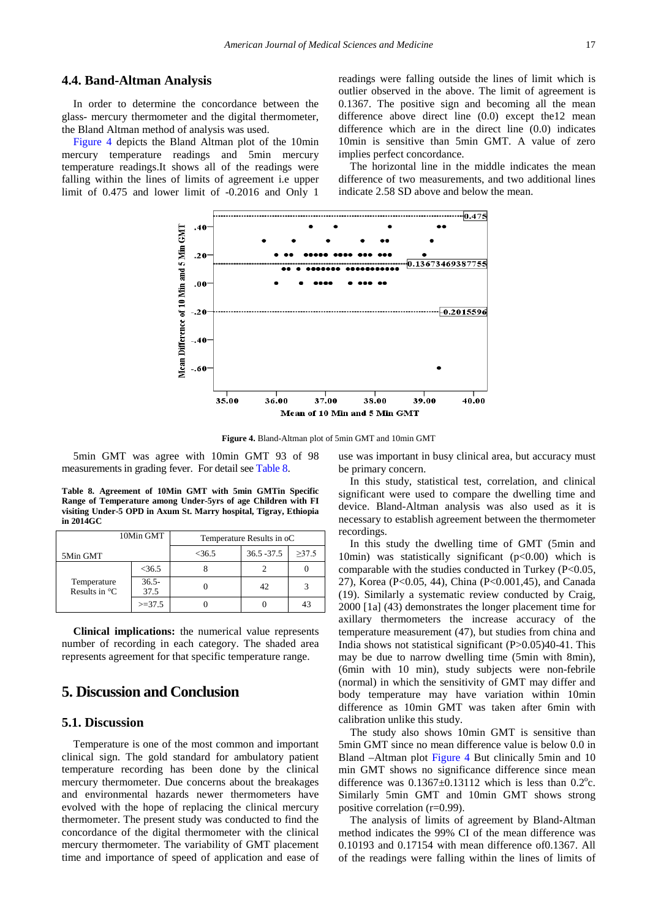## **4.4. Band-Altman Analysis**

In order to determine the concordance between the glass- mercury thermometer and the digital thermometer, the Bland Altman method of analysis was used.

<span id="page-7-0"></span>[Figure 4](#page-7-0) depicts the Bland Altman plot of the 10min mercury temperature readings and 5min mercury temperature readings.It shows all of the readings were falling within the lines of limits of agreement i.e upper limit of 0.475 and lower limit of -0.2016 and Only 1

readings were falling outside the lines of limit which is outlier observed in the above. The limit of agreement is 0.1367. The positive sign and becoming all the mean difference above direct line (0.0) except the12 mean difference which are in the direct line (0.0) indicates 10min is sensitive than 5min GMT. A value of zero implies perfect concordance.

The horizontal line in the middle indicates the mean difference of two measurements, and two additional lines indicate 2.58 SD above and below the mean.



**Figure 4.** Bland-Altman plot of 5min GMT and 10min GMT

5min GMT was agree with 10min GMT 93 of 98 measurements in grading fever. For detail se[e Table 8.](#page-7-1)

**Table 8. Agreement of 10Min GMT with 5min GMTin Specific Range of Temperature among Under-5yrs of age Children with FI visiting Under-5 OPD in Axum St. Marry hospital, Tigray, Ethiopia in 2014GC**

<span id="page-7-1"></span>

| 10Min GMT                              |                  | Temperature Results in oC |               |             |  |
|----------------------------------------|------------------|---------------------------|---------------|-------------|--|
| 5Min GMT                               |                  | $<$ 36.5                  | $36.5 - 37.5$ | $\geq 37.5$ |  |
| Temperature<br>Results in $^{\circ}$ C | $<$ 36.5         |                           |               |             |  |
|                                        | $36.5 -$<br>37.5 |                           | 42            |             |  |
|                                        | $>=37.5$         |                           |               | 43          |  |

**Clinical implications:** the numerical value represents number of recording in each category. The shaded area represents agreement for that specific temperature range.

# **5. Discussion and Conclusion**

#### **5.1. Discussion**

Temperature is one of the most common and important clinical sign. The gold standard for ambulatory patient temperature recording has been done by the clinical mercury thermometer. Due concerns about the breakages and environmental hazards newer thermometers have evolved with the hope of replacing the clinical mercury thermometer. The present study was conducted to find the concordance of the digital thermometer with the clinical mercury thermometer. The variability of GMT placement time and importance of speed of application and ease of use was important in busy clinical area, but accuracy must be primary concern.

In this study, statistical test, correlation, and clinical significant were used to compare the dwelling time and device. Bland-Altman analysis was also used as it is necessary to establish agreement between the thermometer recordings.

In this study the dwelling time of GMT (5min and 10min) was statistically significant  $(p<0.00)$  which is comparable with the studies conducted in Turkey (P<0.05, 27), Korea (P<0.05, 44), China (P<0.001,45), and Canada (19). Similarly a systematic review conducted by Craig, 2000 [1a] (43) demonstrates the longer placement time for axillary thermometers the increase accuracy of the temperature measurement (47), but studies from china and India shows not statistical significant (P>0.05)40-41. This may be due to narrow dwelling time (5min with 8min), (6min with 10 min), study subjects were non-febrile (normal) in which the sensitivity of GMT may differ and body temperature may have variation within 10min difference as 10min GMT was taken after 6min with calibration unlike this study.

The study also shows 10min GMT is sensitive than 5min GMT since no mean difference value is below 0.0 in Bland –Altman plot [Figure 4](#page-7-0) But clinically 5min and 10 min GMT shows no significance difference since mean difference was  $0.1367 \pm 0.13112$  which is less than  $0.2^{\circ}$ c. Similarly 5min GMT and 10min GMT shows strong positive correlation (r=0.99).

The analysis of limits of agreement by Bland-Altman method indicates the 99% CI of the mean difference was 0.10193 and 0.17154 with mean difference of0.1367. All of the readings were falling within the lines of limits of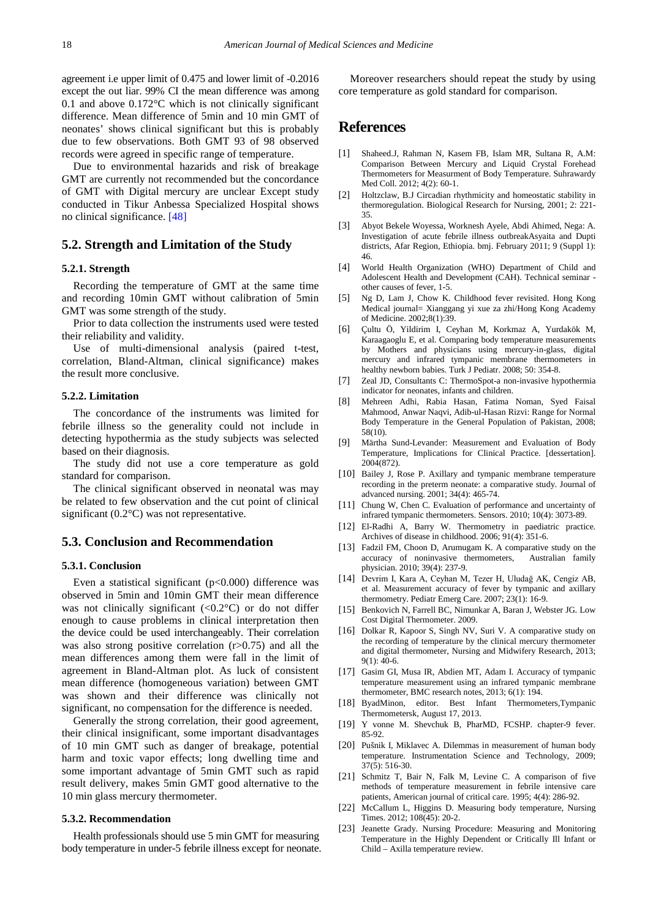agreement i.e upper limit of 0.475 and lower limit of -0.2016 except the out liar. 99% CI the mean difference was among 0.1 and above 0.172°C which is not clinically significant difference. Mean difference of 5min and 10 min GMT of neonates' shows clinical significant but this is probably due to few observations. Both GMT 93 of 98 observed records were agreed in specific range of temperature.

Due to environmental hazarids and risk of breakage GMT are currently not recommended but the concordance of GMT with Digital mercury are unclear Except study conducted in Tikur Anbessa Specialized Hospital shows no clinical significance. [\[48\]](#page-9-5)

#### **5.2. Strength and Limitation of the Study**

#### **5.2.1. Strength**

Recording the temperature of GMT at the same time and recording 10min GMT without calibration of 5min GMT was some strength of the study.

Prior to data collection the instruments used were tested their reliability and validity.

Use of multi-dimensional analysis (paired t-test, correlation, Bland-Altman, clinical significance) makes the result more conclusive.

#### **5.2.2. Limitation**

The concordance of the instruments was limited for febrile illness so the generality could not include in detecting hypothermia as the study subjects was selected based on their diagnosis.

The study did not use a core temperature as gold standard for comparison.

The clinical significant observed in neonatal was may be related to few observation and the cut point of clinical significant (0.2°C) was not representative.

#### **5.3. Conclusion and Recommendation**

#### **5.3.1. Conclusion**

Even a statistical significant  $(p<0.000)$  difference was observed in 5min and 10min GMT their mean difference was not clinically significant  $(<0.2°C$ ) or do not differ enough to cause problems in clinical interpretation then the device could be used interchangeably. Their correlation was also strong positive correlation (r>0.75) and all the mean differences among them were fall in the limit of agreement in Bland-Altman plot. As luck of consistent mean difference (homogeneous variation) between GMT was shown and their difference was clinically not significant, no compensation for the difference is needed.

Generally the strong correlation, their good agreement, their clinical insignificant, some important disadvantages of 10 min GMT such as danger of breakage, potential harm and toxic vapor effects; long dwelling time and some important advantage of 5min GMT such as rapid result delivery, makes 5min GMT good alternative to the 10 min glass mercury thermometer.

#### **5.3.2. Recommendation**

Health professionals should use 5 min GMT for measuring body temperature in under-5 febrile illness except for neonate.

Moreover researchers should repeat the study by using core temperature as gold standard for comparison.

# **References**

- <span id="page-8-0"></span>[1] Shaheed.J, Rahman N, Kasem FB, Islam MR, Sultana R, A.M: Comparison Between Mercury and Liquid Crystal Forehead Thermometers for Measurment of Body Temperature. Suhrawardy Med Coll. 2012; 4(2): 60-1.
- <span id="page-8-1"></span>[2] Holtzclaw, B.J Circadian rhythmicity and homeostatic stability in thermoregulation. Biological Research for Nursing, 2001; 2: 221- 35.
- <span id="page-8-2"></span>[3] Abyot Bekele Woyessa, Worknesh Ayele, Abdi Ahimed, Nega: A. Investigation of acute febrile illness outbreakAsyaita and Dupti districts, Afar Region, Ethiopia. bmj. February 2011; 9 (Suppl 1): 46.
- <span id="page-8-3"></span>[4] World Health Organization (WHO) Department of Child and Adolescent Health and Development (CAH). Technical seminar other causes of fever, 1-5.
- <span id="page-8-4"></span>[5] Ng D, Lam J, Chow K. Childhood fever revisited. Hong Kong Medical journal= Xianggang yi xue za zhi/Hong Kong Academy of Medicine. 2002;8(1):39.
- <span id="page-8-5"></span>[6] Çultu Ö, Yildirim I, Ceyhan M, Korkmaz A, Yurdakök M, Karaagaoglu E, et al. Comparing body temperature measurements by Mothers and physicians using mercury-in-glass, digital mercury and infrared tympanic membrane thermometers in healthy newborn babies. Turk J Pediatr. 2008; 50: 354-8.
- [7] Zeal JD, Consultants C: ThermoSpot-a non-invasive hypothermia indicator for neonates, infants and children.
- [8] Mehreen Adhi, Rabia Hasan, Fatima Noman, Syed Faisal Mahmood, Anwar Naqvi, Adib-ul-Hasan Rizvi: Range for Normal Body Temperature in the General Population of Pakistan, 2008; 58(10).
- <span id="page-8-6"></span>[9] Märtha Sund-Levander: Measurement and Evaluation of Body Temperature, Implications for Clinical Practice. [dessertation]. 2004(872).
- [10] Bailey J, Rose P. Axillary and tympanic membrane temperature recording in the preterm neonate: a comparative study. Journal of advanced nursing. 2001; 34(4): 465-74.
- <span id="page-8-10"></span>[11] Chung W, Chen C. Evaluation of performance and uncertainty of infrared tympanic thermometers. Sensors. 2010; 10(4): 3073-89.
- <span id="page-8-7"></span>[12] El-Radhi A, Barry W. Thermometry in paediatric practice. Archives of disease in childhood. 2006; 91(4): 351-6.
- [13] Fadzil FM, Choon D, Arumugam K. A comparative study on the accuracy of noninvasive thermometers, Australian family accuracy of noninvasive thermometers, physician. 2010; 39(4): 237-9.
- <span id="page-8-8"></span>[14] Devrim I, Kara A, Ceyhan M, Tezer H, Uludağ AK, Cengiz AB, et al. Measurement accuracy of fever by tympanic and axillary thermometry. Pediatr Emerg Care. 2007; 23(1): 16-9.
- <span id="page-8-9"></span>[15] Benkovich N, Farrell BC, Nimunkar A, Baran J, Webster JG. Low Cost Digital Thermometer. 2009.
- [16] Dolkar R, Kapoor S, Singh NV, Suri V. A comparative study on the recording of temperature by the clinical mercury thermometer and digital thermometer, Nursing and Midwifery Research, 2013; 9(1): 40-6.
- [17] Gasim GI, Musa IR, Abdien MT, Adam I. Accuracy of tympanic temperature measurement using an infrared tympanic membrane thermometer, BMC research notes, 2013; 6(1): 194.
- [18] ByadMinon, editor. Best Infant Thermometers,Tympanic Thermometersk, August 17, 2013.
- [19] Y vonne M. Shevchuk B, PharMD, FCSHP. chapter-9 fever. 85-92.
- [20] Pušnik I, Miklavec A. Dilemmas in measurement of human body temperature. Instrumentation Science and Technology, 2009; 37(5): 516-30.
- [21] Schmitz T, Bair N, Falk M, Levine C. A comparison of five methods of temperature measurement in febrile intensive care patients, American journal of critical care. 1995; 4(4): 286-92.
- [22] McCallum L, Higgins D. Measuring body temperature, Nursing Times. 2012; 108(45): 20-2.
- [23] Jeanette Grady. Nursing Procedure: Measuring and Monitoring Temperature in the Highly Dependent or Critically Ill Infant or Child – Axilla temperature review.